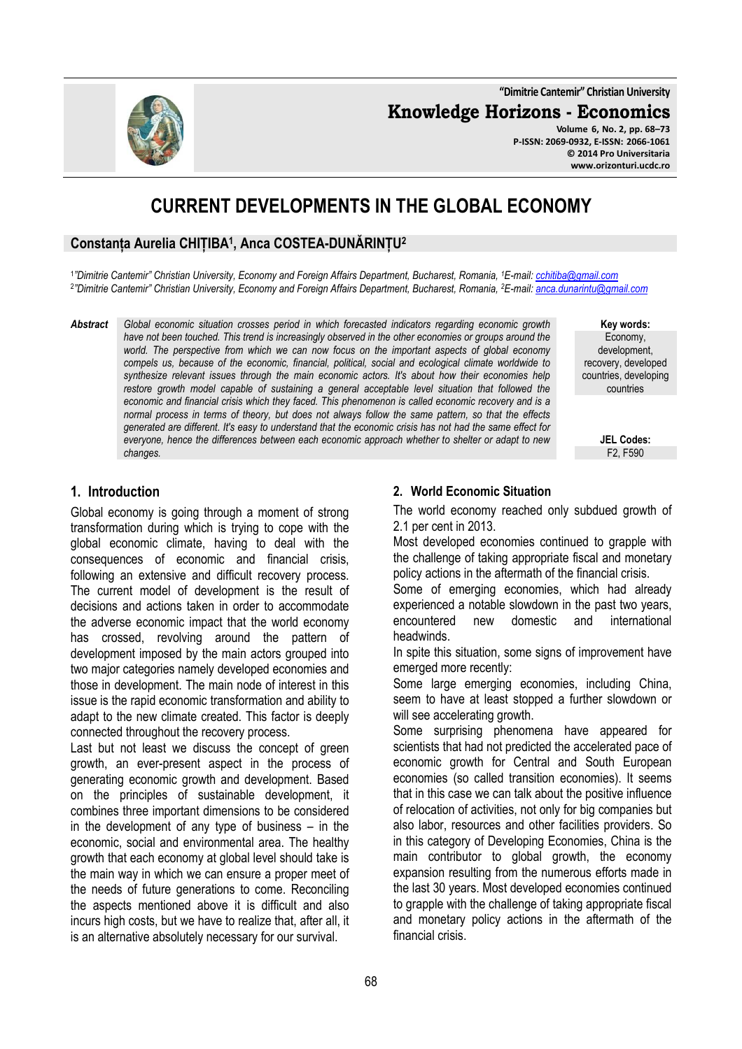**"Dimitrie Cantemir" Christian University**

**Knowledge Horizons - Economics**

**Volume 6, No. 2, pp. 68–73 P-ISSN: 2069-0932, E-ISSN: 2066-1061 © 2014 Pro Universitaria www.orizonturi.ucdc.ro**

# **CURRENT DEVELOPMENTS IN THE GLOBAL ECONOMY**

# **Constanța Aurelia CHIȚIBA<sup>1</sup> , Anca COSTEA-DUNĂRINȚU<sup>2</sup>**

1 *"Dimitrie Cantemir" Christian University, Economy and Foreign Affairs Department, Bucharest, Romania, <sup>1</sup>E-mail: cchitiba@gmail.com* 2 *"Dimitrie Cantemir" Christian University, Economy and Foreign Affairs Department, Bucharest, Romania, <sup>2</sup>E-mail: anca.dunarintu@gmail.com* 

*Abstract Global economic situation crosses period in which forecasted indicators regarding economic growth have not been touched. This trend is increasingly observed in the other economies or groups around the world. The perspective from which we can now focus on the important aspects of global economy compels us, because of the economic, financial, political, social and ecological climate worldwide to synthesize relevant issues through the main economic actors. It's about how their economies help restore growth model capable of sustaining a general acceptable level situation that followed the economic and financial crisis which they faced. This phenomenon is called economic recovery and is a normal process in terms of theory, but does not always follow the same pattern, so that the effects generated are different. It's easy to understand that the economic crisis has not had the same effect for everyone, hence the differences between each economic approach whether to shelter or adapt to new changes.* 

**Key words:** Economy, development, recovery, developed countries, developing countries

> **JEL Codes:** F2, F590

## **1. Introduction**

Global economy is going through a moment of strong transformation during which is trying to cope with the global economic climate, having to deal with the consequences of economic and financial crisis, following an extensive and difficult recovery process. The current model of development is the result of decisions and actions taken in order to accommodate the adverse economic impact that the world economy has crossed, revolving around the pattern of development imposed by the main actors grouped into two major categories namely developed economies and those in development. The main node of interest in this issue is the rapid economic transformation and ability to adapt to the new climate created. This factor is deeply connected throughout the recovery process.

Last but not least we discuss the concept of green growth, an ever-present aspect in the process of generating economic growth and development. Based on the principles of sustainable development, it combines three important dimensions to be considered in the development of any type of business – in the economic, social and environmental area. The healthy growth that each economy at global level should take is the main way in which we can ensure a proper meet of the needs of future generations to come. Reconciling the aspects mentioned above it is difficult and also incurs high costs, but we have to realize that, after all, it is an alternative absolutely necessary for our survival.

#### **2. World Economic Situation**

The world economy reached only subdued growth of 2.1 per cent in 2013.

Most developed economies continued to grapple with the challenge of taking appropriate fiscal and monetary policy actions in the aftermath of the financial crisis.

Some of emerging economies, which had already experienced a notable slowdown in the past two years, encountered new domestic and international headwinds.

In spite this situation, some signs of improvement have emerged more recently:

Some large emerging economies, including China, seem to have at least stopped a further slowdown or will see accelerating growth.

Some surprising phenomena have appeared for scientists that had not predicted the accelerated pace of economic growth for Central and South European economies (so called transition economies). It seems that in this case we can talk about the positive influence of relocation of activities, not only for big companies but also labor, resources and other facilities providers. So in this category of Developing Economies, China is the main contributor to global growth, the economy expansion resulting from the numerous efforts made in the last 30 years. Most developed economies continued to grapple with the challenge of taking appropriate fiscal and monetary policy actions in the aftermath of the financial crisis.

68

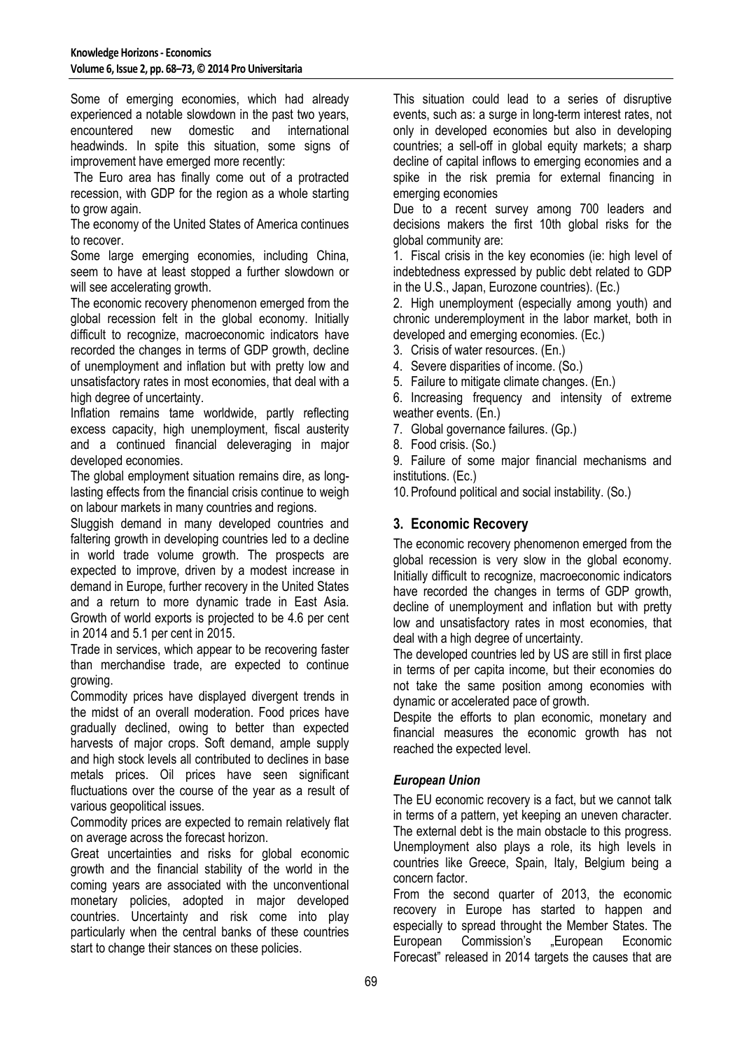Some of emerging economies, which had already experienced a notable slowdown in the past two years, encountered new domestic and international headwinds. In spite this situation, some signs of improvement have emerged more recently:

 The Euro area has finally come out of a protracted recession, with GDP for the region as a whole starting to grow again.

The economy of the United States of America continues to recover.

Some large emerging economies, including China, seem to have at least stopped a further slowdown or will see accelerating growth.

The economic recovery phenomenon emerged from the global recession felt in the global economy. Initially difficult to recognize, macroeconomic indicators have recorded the changes in terms of GDP growth, decline of unemployment and inflation but with pretty low and unsatisfactory rates in most economies, that deal with a high degree of uncertainty.

Inflation remains tame worldwide, partly reflecting excess capacity, high unemployment, fiscal austerity and a continued financial deleveraging in major developed economies.

The global employment situation remains dire, as longlasting effects from the financial crisis continue to weigh on labour markets in many countries and regions.

Sluggish demand in many developed countries and faltering growth in developing countries led to a decline in world trade volume growth. The prospects are expected to improve, driven by a modest increase in demand in Europe, further recovery in the United States and a return to more dynamic trade in East Asia. Growth of world exports is projected to be 4.6 per cent in 2014 and 5.1 per cent in 2015.

Trade in services, which appear to be recovering faster than merchandise trade, are expected to continue growing.

Commodity prices have displayed divergent trends in the midst of an overall moderation. Food prices have gradually declined, owing to better than expected harvests of major crops. Soft demand, ample supply and high stock levels all contributed to declines in base metals prices. Oil prices have seen significant fluctuations over the course of the year as a result of various geopolitical issues.

Commodity prices are expected to remain relatively flat on average across the forecast horizon.

Great uncertainties and risks for global economic growth and the financial stability of the world in the coming years are associated with the unconventional monetary policies, adopted in major developed countries. Uncertainty and risk come into play particularly when the central banks of these countries start to change their stances on these policies.

This situation could lead to a series of disruptive events, such as: a surge in long-term interest rates, not only in developed economies but also in developing countries; a sell-off in global equity markets; a sharp decline of capital inflows to emerging economies and a spike in the risk premia for external financing in emerging economies

Due to a recent survey among 700 leaders and decisions makers the first 10th global risks for the global community are:

1. Fiscal crisis in the key economies (ie: high level of indebtedness expressed by public debt related to GDP in the U.S., Japan, Eurozone countries). (Ec.)

2. High unemployment (especially among youth) and chronic underemployment in the labor market, both in developed and emerging economies. (Ec.)

- 3. Crisis of water resources. (En.)
- 4. Severe disparities of income. (So.)

5. Failure to mitigate climate changes. (En.)

6. Increasing frequency and intensity of extreme weather events. (En.)

7. Global governance failures. (Gp.)

8. Food crisis. (So.)

9. Failure of some major financial mechanisms and institutions. (Ec.)

10. Profound political and social instability. (So.)

## **3. Economic Recovery**

The economic recovery phenomenon emerged from the global recession is very slow in the global economy. Initially difficult to recognize, macroeconomic indicators have recorded the changes in terms of GDP growth. decline of unemployment and inflation but with pretty low and unsatisfactory rates in most economies, that deal with a high degree of uncertainty.

The developed countries led by US are still in first place in terms of per capita income, but their economies do not take the same position among economies with dynamic or accelerated pace of growth.

Despite the efforts to plan economic, monetary and financial measures the economic growth has not reached the expected level.

## *European Union*

The EU economic recovery is a fact, but we cannot talk in terms of a pattern, yet keeping an uneven character. The external debt is the main obstacle to this progress. Unemployment also plays a role, its high levels in countries like Greece, Spain, Italy, Belgium being a concern factor.

From the second quarter of 2013, the economic recovery in Europe has started to happen and especially to spread throught the Member States. The European Commission's .European Economic Forecast" released in 2014 targets the causes that are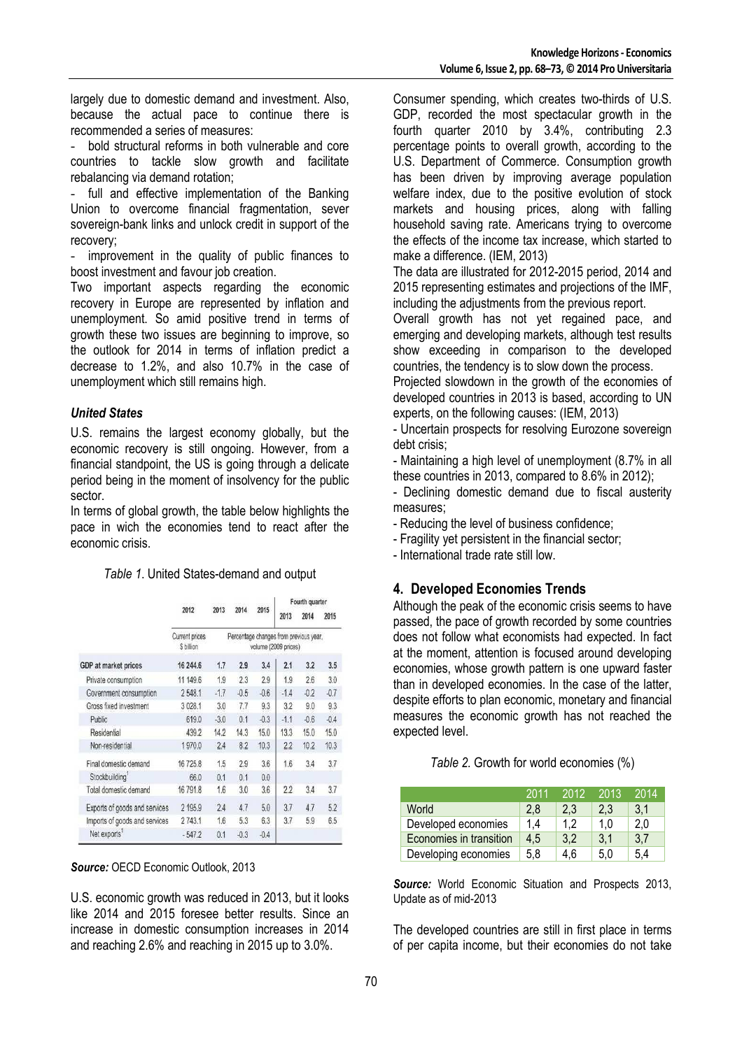largely due to domestic demand and investment. Also, because the actual pace to continue there is recommended a series of measures:

- bold structural reforms in both vulnerable and core countries to tackle slow growth and facilitate rebalancing via demand rotation;

full and effective implementation of the Banking Union to overcome financial fragmentation, sever sovereign-bank links and unlock credit in support of the recovery;

improvement in the quality of public finances to boost investment and favour job creation.

Two important aspects regarding the economic recovery in Europe are represented by inflation and unemployment. So amid positive trend in terms of growth these two issues are beginning to improve, so the outlook for 2014 in terms of inflation predict a decrease to 1.2%, and also 10.7% in the case of unemployment which still remains high.

#### *United States*

U.S. remains the largest economy globally, but the economic recovery is still ongoing. However, from a financial standpoint, the US is going through a delicate period being in the moment of insolvency for the public sector.

In terms of global growth, the table below highlights the pace in wich the economies tend to react after the economic crisis.

|                               |                             |        |        |        | Fourth quarter                                                 |        |        |  |
|-------------------------------|-----------------------------|--------|--------|--------|----------------------------------------------------------------|--------|--------|--|
|                               | 2012                        | 2013   | 2014   | 2015   | 2013                                                           | 2014   | 2015   |  |
|                               | Current prices<br>S billion |        |        |        | Percentage changes from previous year,<br>volume (2009 prices) |        |        |  |
| <b>GDP</b> at market prices   | 16 244.6                    | 1.7    | 2.9    | 3.4    | 2.1                                                            | 3.2    | 3.5    |  |
| Private consumption           | 11 149.6                    | 1.9    | 2.3    | 2.9    | 1.9                                                            | 2.6    | 3.0    |  |
| Government consumption        | 2548.1                      | $-1.7$ | $-0.5$ | $-0.6$ | $-1.4$                                                         | $-0.2$ | $-0.7$ |  |
| Gross fixed investment        | 3 0 28.1                    | 3.0    | 7.7    | 9.3    | 3.2                                                            | 9.0    | 9.3    |  |
| Public                        | 619.0                       | $-3.0$ | 0.1    | $-0.3$ | $-1.1$                                                         | $-0.6$ | $-0.4$ |  |
| Residential                   | 439.2                       | 14.2   | 14.3   | 15.0   | 13.3                                                           | 15.0   | 15.0   |  |
| Non-residential               | 1970.0                      | 2.4    | 8.2    | 10.3   | 2.2                                                            | 10.2   | 10.3   |  |
| Final domestic demand         | 16725.8                     | 1.5    | 2.9    | 3.6    | 1.6                                                            | 3.4    | 3.7    |  |
| Stockbuilding                 | 66.0                        | 0.1    | 0.1    | 0.0    |                                                                |        |        |  |
| Total domestic demand         | 16 791.8                    | 1.6    | 3.0    | 3.6    | 2.2                                                            | 3.4    | 3.7    |  |
| Exports of goods and services | 2 195.9                     | 2.4    | 4.7    | 5.0    | 3.7                                                            | 4.7    | 5.2    |  |
| Imports of goods and services | 2743.1                      | 1.6    | 5.3    | 6.3    | 3.7                                                            | 5.9    | 6.5    |  |
| Net exports                   | $-547.2$                    | 0.1    | $-0.3$ | $-0.4$ |                                                                |        |        |  |
|                               |                             |        |        |        |                                                                |        |        |  |

*Source:* OECD Economic Outlook, 2013

U.S. economic growth was reduced in 2013, but it looks like 2014 and 2015 foresee better results. Since an increase in domestic consumption increases in 2014 and reaching 2.6% and reaching in 2015 up to 3.0%.

Consumer spending, which creates two-thirds of U.S. GDP, recorded the most spectacular growth in the fourth quarter 2010 by 3.4%, contributing 2.3 percentage points to overall growth, according to the U.S. Department of Commerce. Consumption growth has been driven by improving average population welfare index, due to the positive evolution of stock markets and housing prices, along with falling household saving rate. Americans trying to overcome the effects of the income tax increase, which started to make a difference. (IEM, 2013)

The data are illustrated for 2012-2015 period, 2014 and 2015 representing estimates and projections of the IMF, including the adjustments from the previous report.

Overall growth has not yet regained pace, and emerging and developing markets, although test results show exceeding in comparison to the developed countries, the tendency is to slow down the process.

Projected slowdown in the growth of the economies of developed countries in 2013 is based, according to UN experts, on the following causes: (IEM, 2013)

- Uncertain prospects for resolving Eurozone sovereign debt crisis;

- Maintaining a high level of unemployment (8.7% in all these countries in 2013, compared to 8.6% in 2012);

- Declining domestic demand due to fiscal austerity measures;

- Reducing the level of business confidence;

- Fragility yet persistent in the financial sector;

- International trade rate still low.

#### **4. Developed Economies Trends**

Although the peak of the economic crisis seems to have passed, the pace of growth recorded by some countries does not follow what economists had expected. In fact at the moment, attention is focused around developing economies, whose growth pattern is one upward faster than in developed economies. In the case of the latter, despite efforts to plan economic, monetary and financial measures the economic growth has not reached the expected level.

*Table 2.* Growth for world economies (%)

|                         | 2011 | 2012 | 2013 | 2014 |
|-------------------------|------|------|------|------|
| World                   | 2.8  | 2.3  | 2.3  | 3.1  |
| Developed economies     | 1.4  | 1.2  | 1.0  | 2,0  |
| Economies in transition | 4.5  | 3,2  | 3.1  | 3.7  |
| Developing economies    | 5.8  | 4.6  | 5.0  | 5.4  |

*Source:* World Economic Situation and Prospects 2013, Update as of mid-2013

The developed countries are still in first place in terms of per capita income, but their economies do not take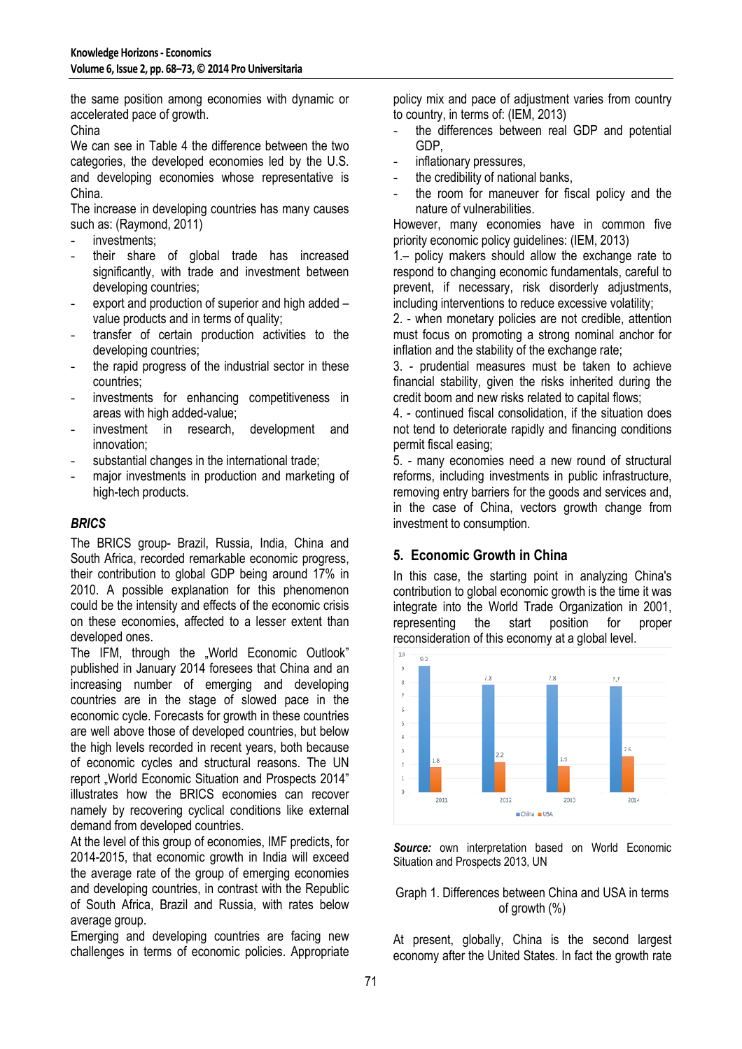the same position among economies with dynamic or accelerated pace of growth.

China

We can see in Table 4 the difference between the two categories, the developed economies led by the U.S. and developing economies whose representative is China.

The increase in developing countries has many causes such as: (Raymond, 2011)

- investments;
- their share of global trade has increased significantly, with trade and investment between developing countries;
- export and production of superior and high added value products and in terms of quality;
- transfer of certain production activities to the developing countries;
- the rapid progress of the industrial sector in these countries;
- investments for enhancing competitiveness in areas with high added-value;
- investment in research, development and innovation;
- substantial changes in the international trade;
- major investments in production and marketing of high-tech products.

#### *BRICS*

The BRICS group- Brazil, Russia, India, China and South Africa, recorded remarkable economic progress, their contribution to global GDP being around 17% in 2010. A possible explanation for this phenomenon could be the intensity and effects of the economic crisis on these economies, affected to a lesser extent than developed ones.

The IFM, through the "World Economic Outlook" published in January 2014 foresees that China and an increasing number of emerging and developing countries are in the stage of slowed pace in the economic cycle. Forecasts for growth in these countries are well above those of developed countries, but below the high levels recorded in recent years, both because of economic cycles and structural reasons. The UN report "World Economic Situation and Prospects 2014" illustrates how the BRICS economies can recover namely by recovering cyclical conditions like external demand from developed countries.

At the level of this group of economies, IMF predicts, for 2014-2015, that economic growth in India will exceed the average rate of the group of emerging economies and developing countries, in contrast with the Republic of South Africa, Brazil and Russia, with rates below average group.

Emerging and developing countries are facing new challenges in terms of economic policies. Appropriate policy mix and pace of adjustment varies from country to country, in terms of: (IEM, 2013)

- the differences between real GDP and potential GDP,
- inflationary pressures,
- the credibility of national banks,
- the room for maneuver for fiscal policy and the nature of vulnerabilities.

However, many economies have in common five priority economic policy guidelines: (IEM, 2013)

1.– policy makers should allow the exchange rate to respond to changing economic fundamentals, careful to prevent, if necessary, risk disorderly adjustments, including interventions to reduce excessive volatility;

2. - when monetary policies are not credible, attention must focus on promoting a strong nominal anchor for inflation and the stability of the exchange rate;

3. - prudential measures must be taken to achieve financial stability, given the risks inherited during the credit boom and new risks related to capital flows;

4. - continued fiscal consolidation, if the situation does not tend to deteriorate rapidly and financing conditions permit fiscal easing;

5. - many economies need a new round of structural reforms, including investments in public infrastructure, removing entry barriers for the goods and services and, in the case of China, vectors growth change from investment to consumption.

## **5. Economic Growth in China**

In this case, the starting point in analyzing China's contribution to global economic growth is the time it was integrate into the World Trade Organization in 2001,<br>representing the start position for proper representing the start position for proper reconsideration of this economy at a global level.



*Source:* own interpretation based on World Economic Situation and Prospects 2013, UN

#### Graph 1. Differences between China and USA in terms of growth  $(\%)$

At present, globally, China is the second largest economy after the United States. In fact the growth rate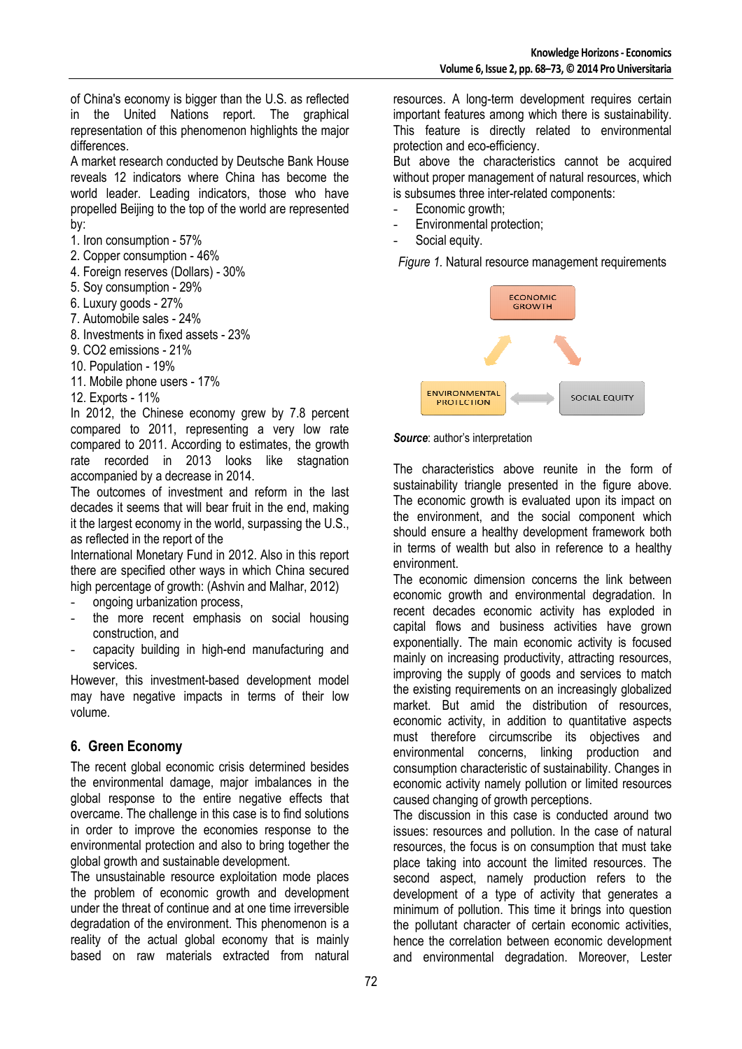of China's economy is bigger than the U.S. as reflected in the United Nations report. The graphical representation of this phenomenon highlights the major differences.

A market research conducted by Deutsche Bank House reveals 12 indicators where China has become the world leader. Leading indicators, those who have propelled Beijing to the top of the world are represented by:

1. Iron consumption - 57%

- 2. Copper consumption 46%
- 4. Foreign reserves (Dollars) 30%
- 5. Soy consumption 29%
- 6. Luxury goods 27%
- 7. Automobile sales 24%
- 8. Investments in fixed assets 23%
- 9. CO2 emissions 21%
- 10. Population 19%
- 11. Mobile phone users 17%
- 12. Exports 11%

In 2012, the Chinese economy grew by 7.8 percent compared to 2011, representing a very low rate compared to 2011. According to estimates, the growth rate recorded in 2013 looks like stagnation accompanied by a decrease in 2014.

The outcomes of investment and reform in the last decades it seems that will bear fruit in the end, making it the largest economy in the world, surpassing the U.S., as reflected in the report of the

International Monetary Fund in 2012. Also in this report there are specified other ways in which China secured high percentage of growth: (Ashvin and Malhar, 2012)

- ongoing urbanization process,
- the more recent emphasis on social housing construction, and
- capacity building in high-end manufacturing and services.

However, this investment-based development model may have negative impacts in terms of their low volume.

## **6. Green Economy**

The recent global economic crisis determined besides the environmental damage, major imbalances in the global response to the entire negative effects that overcame. The challenge in this case is to find solutions in order to improve the economies response to the environmental protection and also to bring together the global growth and sustainable development.

The unsustainable resource exploitation mode places the problem of economic growth and development under the threat of continue and at one time irreversible degradation of the environment. This phenomenon is a reality of the actual global economy that is mainly based on raw materials extracted from natural

resources. A long-term development requires certain important features among which there is sustainability. This feature is directly related to environmental protection and eco-efficiency.

But above the characteristics cannot be acquired without proper management of natural resources, which is subsumes three inter-related components:

- Economic growth;
- Environmental protection;
- Social equity.

*Figure 1.* Natural resource management requirements



#### *Source*: author's interpretation

The characteristics above reunite in the form of sustainability triangle presented in the figure above. The economic growth is evaluated upon its impact on the environment, and the social component which should ensure a healthy development framework both in terms of wealth but also in reference to a healthy environment.

The economic dimension concerns the link between economic growth and environmental degradation. In recent decades economic activity has exploded in capital flows and business activities have grown exponentially. The main economic activity is focused mainly on increasing productivity, attracting resources, improving the supply of goods and services to match the existing requirements on an increasingly globalized market. But amid the distribution of resources, economic activity, in addition to quantitative aspects must therefore circumscribe its objectives and environmental concerns, linking production and consumption characteristic of sustainability. Changes in economic activity namely pollution or limited resources caused changing of growth perceptions.

The discussion in this case is conducted around two issues: resources and pollution. In the case of natural resources, the focus is on consumption that must take place taking into account the limited resources. The second aspect, namely production refers to the development of a type of activity that generates a minimum of pollution. This time it brings into question the pollutant character of certain economic activities, hence the correlation between economic development and environmental degradation. Moreover, Lester